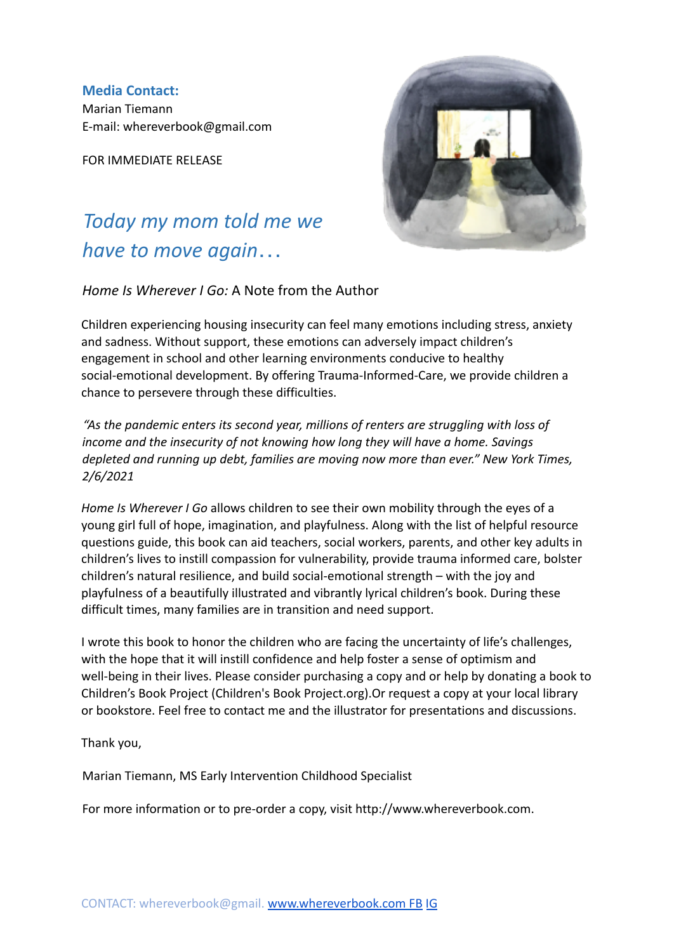**Media Contact:** Marian Tiemann E-mail: whereverbook@gmail.com

FOR IMMEDIATE RELEASE

# *Today my mom told me we have to move again*…



*Home Is Wherever I Go:* A Note from the Author

Children experiencing housing insecurity can feel many emotions including stress, anxiety and sadness. Without support, these emotions can adversely impact children's engagement in school and other learning environments conducive to healthy social-emotional development. By offering Trauma-Informed-Care, we provide children a chance to persevere through these difficulties.

*"As the pandemic enters its second year, millions of renters are struggling with loss of income and the insecurity of not knowing how long they will have a home. Savings depleted and running up debt, families are moving now more than ever." New York Times, 2/6/2021*

*Home Is Wherever I Go* allows children to see their own mobility through the eyes of a young girl full of hope, imagination, and playfulness. Along with the list of helpful resource questions guide, this book can aid teachers, social workers, parents, and other key adults in children's lives to instill compassion for vulnerability, provide trauma informed care, bolster children's natural resilience, and build social-emotional strength – with the joy and playfulness of a beautifully illustrated and vibrantly lyrical children's book. During these difficult times, many families are in transition and need support.

I wrote this book to honor the children who are facing the uncertainty of life's challenges, with the hope that it will instill confidence and help foster a sense of optimism and well-being in their lives. Please consider purchasing a copy and or help by donating a book to Children's Book Project (Children's Book Project.org).Or request a copy at your local library or bookstore. Feel free to contact me and the illustrator for presentations and discussions.

Thank you,

Marian Tiemann, MS Early Intervention Childhood Specialist

For more information or to pre-order a copy, visit http://www.whereverbook.com.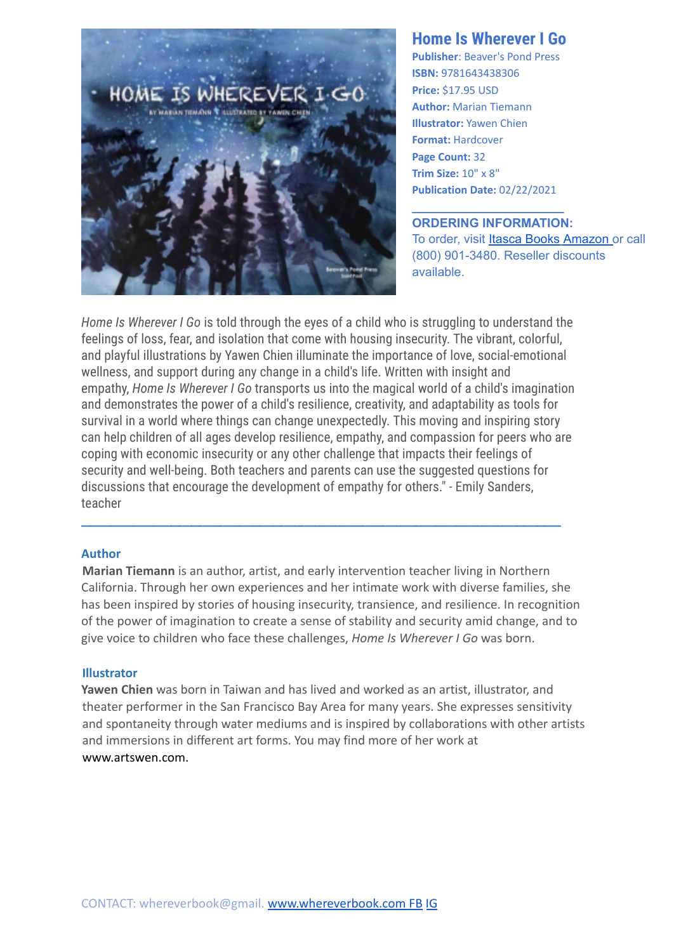

### **Home Is Wherever I Go**

**Publisher**: Beaver's Pond Press **ISBN:** 9781643438306 **Price:** \$17.95 USD **Author:** Marian Tiemann **Illustrator:** Yawen Chien **Format:** Hardcover **Page Count:** 32 **Trim Size:** 10" x 8" **Publication Date:** 02/22/2021

**\_\_\_\_\_\_\_\_\_\_\_\_\_\_\_\_\_\_\_\_\_\_**

**ORDERING INFORMATION:** To order, visit Itasca [Books](https://itascabooks.com/home-is-wherever-i-go/) [Amazon](https://www.amazon.com/Home-Wherever-Go-Marian-Tiemann/dp/1643438301) or call (800) 901-3480. Reseller discounts available.

*Home Is Wherever I Go* is told through the eyes of a child who is struggling to understand the feelings of loss, fear, and isolation that come with housing insecurity. The vibrant, colorful, and playful illustrations by Yawen Chien illuminate the importance of love, social-emotional wellness, and support during any change in a child's life. Written with insight and empathy, *Home Is Wherever I Go* transports us into the magical world of a child's imagination and demonstrates the power of a child's resilience, creativity, and adaptability as tools for survival in a world where things can change unexpectedly. This moving and inspiring story can help children of all ages develop resilience, empathy, and compassion for peers who are coping with economic insecurity or any other challenge that impacts their feelings of security and well-being. Both teachers and parents can use the suggested questions for discussions that encourage the development of empathy for others." - Emily Sanders, teacher

#### **Author**

**Marian Tiemann** is an author, artist, and early intervention teacher living in Northern California. Through her own experiences and her intimate work with diverse families, she has been inspired by stories of housing insecurity, transience, and resilience. In recognition of the power of imagination to create a sense of stability and security amid change, and to give voice to children who face these challenges, *Home Is Wherever I Go* was born.

**\_\_\_\_\_\_\_\_\_\_\_\_\_\_\_\_\_\_\_\_\_\_\_\_\_\_\_\_\_\_\_\_\_\_\_\_\_\_\_\_\_\_\_\_\_\_\_\_\_\_\_\_\_\_\_\_\_\_\_\_\_\_\_\_\_\_\_\_\_\_\_**

#### **Illustrator**

**Yawen Chien** was born in Taiwan and has lived and worked as an artist, illustrator, and theater performer in the San Francisco Bay Area for many years. She expresses sensitivity and spontaneity through water mediums and is inspired by collaborations with other artists and immersions in different art forms. You may find more of her work at www.artswen.com.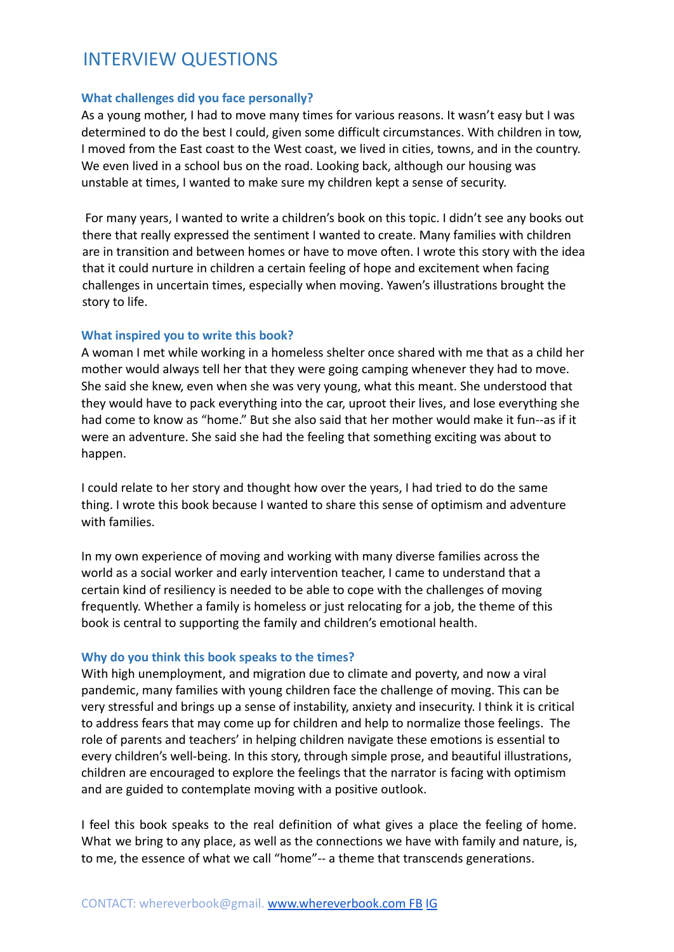## INTERVIEW QUESTIONS

#### **What challenges did you face personally?**

As a young mother, I had to move many times for various reasons. It wasn't easy but I was determined to do the best I could, given some difficult circumstances. With children in tow, I moved from the East coast to the West coast, we lived in cities, towns, and in the country. We even lived in a school bus on the road. Looking back, although our housing was unstable at times, I wanted to make sure my children kept a sense of security.

For many years, I wanted to write a children's book on this topic. I didn't see any books out there that really expressed the sentiment I wanted to create. Many families with children are in transition and between homes or have to move often. I wrote this story with the idea that it could nurture in children a certain feeling of hope and excitement when facing challenges in uncertain times, especially when moving. Yawen's illustrations brought the story to life.

#### **What inspired you to write this book?**

A woman I met while working in a homeless shelter once shared with me that as a child her mother would always tell her that they were going camping whenever they had to move. She said she knew, even when she was very young, what this meant. She understood that they would have to pack everything into the car, uproot their lives, and lose everything she had come to know as "home." But she also said that her mother would make it fun--as if it were an adventure. She said she had the feeling that something exciting was about to happen.

I could relate to her story and thought how over the years, I had tried to do the same thing. I wrote this book because I wanted to share this sense of optimism and adventure with families.

In my own experience of moving and working with many diverse families across the world as a social worker and early intervention teacher, I came to understand that a certain kind of resiliency is needed to be able to cope with the challenges of moving frequently. Whether a family is homeless or just relocating for a job, the theme of this book is central to supporting the family and children's emotional health.

#### **Why do you think this book speaks to the times?**

With high unemployment, and migration due to climate and poverty, and now a viral pandemic, many families with young children face the challenge of moving. This can be very stressful and brings up a sense of instability, anxiety and insecurity. I think it is critical to address fears that may come up for children and help to normalize those feelings. The role of parents and teachers' in helping children navigate these emotions is essential to every children's well-being. In this story, through simple prose, and beautiful illustrations, children are encouraged to explore the feelings that the narrator is facing with optimism and are guided to contemplate moving with a positive outlook.

I feel this book speaks to the real definition of what gives a place the feeling of home. What we bring to any place, as well as the connections we have with family and nature, is, to me, the essence of what we call "home"-- a theme that transcends generations.